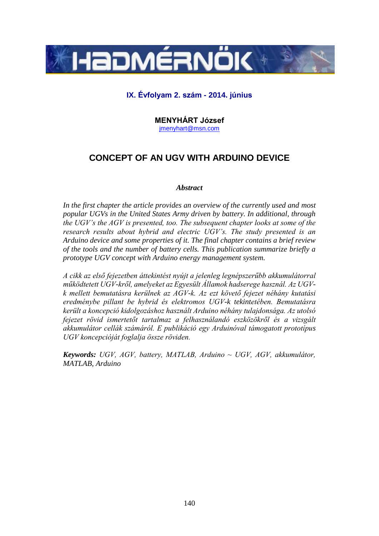

# **IX. Évfolyam 2. szám - 2014. június**

**MENYHÁRT József** [jmenyhart@msn.com](mailto:jmenyhart@msn.com)

# **CONCEPT OF AN UGV WITH ARDUINO DEVICE**

### *Abstract*

*In the first chapter the article provides an overview of the currently used and most popular UGVs in the United States Army driven by battery. In additional, through the UGV's the AGV is presented, too. The subsequent chapter looks at some of the research results about hybrid and electric UGV's. The study presented is an Arduino device and some properties of it. The final chapter contains a brief review of the tools and the number of battery cells. This publication summarize briefly a prototype UGV concept with Arduino energy management system.*

*A cikk az első fejezetben áttekintést nyújt a jelenleg legnépszerűbb akkumulátorral működtetett UGV-kről, amelyeket az Egyesült Államok hadserege használ. Az UGVk mellett bemutatásra kerülnek az AGV-k. Az ezt követő fejezet néhány kutatási eredménybe pillant be hybrid és elektromos UGV-k tekintetében. Bemutatásra került a koncepció kidolgozáshoz használt Arduino néhány tulajdonsága. Az utolsó fejezet rövid ismertetőt tartalmaz a felhasználandó eszközökről és a vizsgált akkumulátor cellák számáról. E publikáció egy Arduinóval támogatott prototípus UGV koncepcióját foglalja össze röviden.*

*Keywords: UGV, AGV, battery, MATLAB, Arduino ~ UGV, AGV, akkumulátor, MATLAB, Arduino*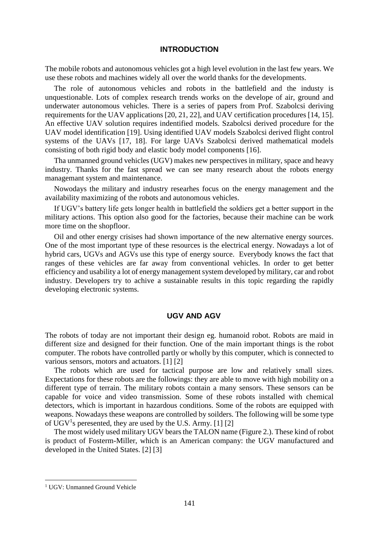#### **INTRODUCTION**

The mobile robots and autonomous vehicles got a high level evolution in the last few years. We use these robots and machines widely all over the world thanks for the developments.

The role of autonomous vehicles and robots in the battlefield and the industy is unquestionable. Lots of complex research trends works on the develope of air, ground and underwater autonomous vehicles. There is a series of papers from Prof. Szabolcsi deriving requirements for the UAV applications [20, 21, 22], and UAV certification procedures [14, 15]. An effective UAV solution requires indentified models. Szabolcsi derived procedure for the UAV model identification [19]. Using identified UAV models Szabolcsi derived flight control systems of the UAVs [17, 18]. For large UAVs Szabolcsi derived mathematical models consisting of both rigid body and elastic body model components [16].

Tha unmanned ground vehicles (UGV) makes new perspectives in military, space and heavy industry. Thanks for the fast spread we can see many research about the robots energy managemant system and maintenance.

Nowodays the military and industry researhes focus on the energy management and the availability maximizing of the robots and autonomous vehicles.

If UGV's battery life gets longer health in battlefield the soldiers get a better support in the military actions. This option also good for the factories, because their machine can be work more time on the shopfloor.

Oil and other energy crisises had shown importance of the new alternative energy sources. One of the most important type of these resources is the electrical energy. Nowadays a lot of hybrid cars, UGVs and AGVs use this type of energy source. Everybody knows the fact that ranges of these vehicles are far away from conventional vehicles. In order to get better efficiency and usability a lot of energy management system developed by military, car and robot industry. Developers try to achive a sustainable results in this topic regarding the rapidly developing electronic systems.

#### **UGV AND AGV**

The robots of today are not important their design eg. humanoid robot. Robots are maid in different size and designed for their function. One of the main important things is the robot computer. The robots have controlled partly or wholly by this computer, which is connected to various sensors, motors and actuators. [1] [2]

The robots which are used for tactical purpose are low and relatively small sizes. Expectations for these robots are the followings: they are able to move with high mobility on a different type of terrain. The military robots contain a many sensors. These sensors can be capable for voice and video transmission. Some of these robots installed with chemical detectors, which is important in hazardous conditions. Some of the robots are equipped with weapons. Nowadays these weapons are controlled by soilders. The following will be some type of UGV<sup>1</sup>s peresented, they are used by the U.S. Army. [1] [2]

The most widely used military UGV bears the TALON name (Figure 2.). These kind of robot is product of Fosterm-Miller, which is an American company: the UGV manufactured and developed in the United States. [2] [3]

1

<sup>&</sup>lt;sup>1</sup> UGV: Unmanned Ground Vehicle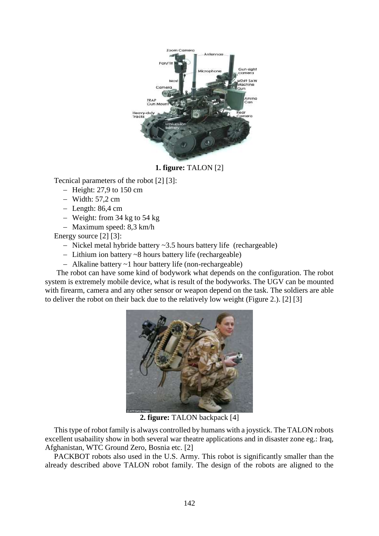

**1. figure:** TALON [2]

Tecnical parameters of the robot [2] [3]:

- $-$  Height: 27,9 to 150 cm
- $-$  Width: 57.2 cm
- $-$  Length: 86.4 cm
- Weight: from 34 kg to 54 kg
- $-$  Maximum speed: 8,3 km/h

Energy source [2] [3]:

- Nickel metal hybride battery ~3.5 hours battery life (rechargeable)
- Lithium ion battery ~8 hours battery life (rechargeable)
- Alkaline battery ~1 hour battery life (non-rechargeable)

The robot can have some kind of bodywork what depends on the configuration. The robot system is extremely mobile device, what is result of the bodyworks. The UGV can be mounted with firearm, camera and any other sensor or weapon depend on the task. The soldiers are able to deliver the robot on their back due to the relatively low weight (Figure 2.). [2] [3]



**2. figure:** TALON backpack [4]

This type of robot family is always controlled by humans with a joystick. The TALON robots excellent usabaility show in both several war theatre applications and in disaster zone eg.: Iraq, Afghanistan, WTC Ground Zero, Bosnia etc. [2]

PACKBOT robots also used in the U.S. Army. This robot is significantly smaller than the already described above TALON robot family. The design of the robots are aligned to the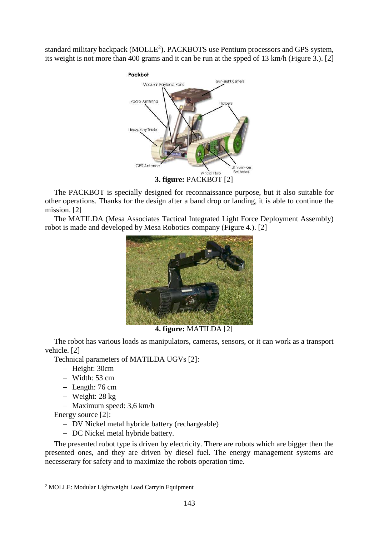standard military backpack (MOLLE<sup>2</sup>). PACKBOTS use Pentium processors and GPS system, its weight is not more than 400 grams and it can be run at the spped of 13 km/h (Figure 3.). [2]



The PACKBOT is specially designed for reconnaissance purpose, but it also suitable for other operations. Thanks for the design after a band drop or landing, it is able to continue the mission. [2]

The MATILDA (Mesa Associates Tactical Integrated Light Force Deployment Assembly) robot is made and developed by Mesa Robotics company (Figure 4.). [2]



**4. figure:** MATILDA [2]

The robot has various loads as manipulators, cameras, sensors, or it can work as a transport vehicle. [2]

Technical parameters of MATILDA UGVs [2]:

- Height: 30cm
- Width: 53 cm
- Length: 76 cm
- Weight: 28 kg
- Maximum speed: 3,6 km/h

Energy source [2]:

1

- DV Nickel metal hybride battery (rechargeable)
- DC Nickel metal hybride battery.

The presented robot type is driven by electricity. There are robots which are bigger then the presented ones, and they are driven by diesel fuel. The energy management systems are necesserary for safety and to maximize the robots operation time.

<sup>2</sup> MOLLE: Modular Lightweight Load Carryin Equipment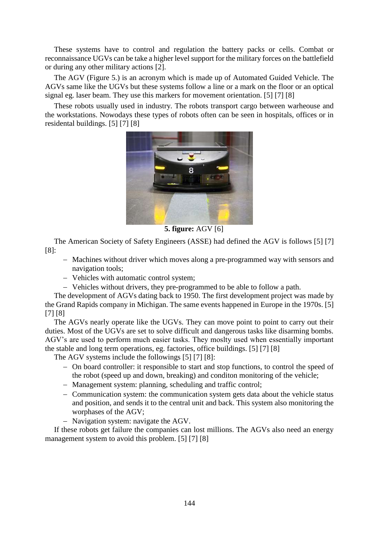These systems have to control and regulation the battery packs or cells. Combat or reconnaissance UGVs can be take a higher level support for the military forces on the battlefield or during any other military actions [2].

The AGV (Figure 5.) is an acronym which is made up of Automated Guided Vehicle. The AGVs same like the UGVs but these systems follow a line or a mark on the floor or an optical signal eg. laser beam. They use this markers for movement orientation. [5] [7] [8]

These robots usually used in industry. The robots transport cargo between warheouse and the workstations. Nowodays these types of robots often can be seen in hospitals, offices or in residental buildings. [5] [7] [8]



**5. figure:** AGV [6]

The American Society of Safety Engineers (ASSE) had defined the AGV is follows [5] [7] [8]:

- Machines without driver which moves along a pre-programmed way with sensors and navigation tools;
- Vehicles with automatic control system;
- Vehicles without drivers, they pre-programmed to be able to follow a path.

The development of AGVs dating back to 1950. The first development project was made by the Grand Rapids company in Michigan. The same events happened in Europe in the 1970s. [5] [7] [8]

The AGVs nearly operate like the UGVs. They can move point to point to carry out their duties. Most of the UGVs are set to solve difficult and dangerous tasks like disarming bombs. AGV's are used to perform much easier tasks. They moslty used when essentially important the stable and long term operations, eg. factories, office buildings. [5] [7] [8]

The AGV systems include the followings [5] [7] [8]:

- On board controller: it responsible to start and stop functions, to control the speed of the robot (speed up and down, breaking) and conditon monitoring of the vehicle;
- Management system: planning, scheduling and traffic control;
- Communication system: the communication system gets data about the vehicle status and position, and sends it to the central unit and back. This system also monitoring the worphases of the AGV;
- Navigation system: navigate the AGV.

If these robots get failure the companies can lost millions. The AGVs also need an energy management system to avoid this problem. [5] [7] [8]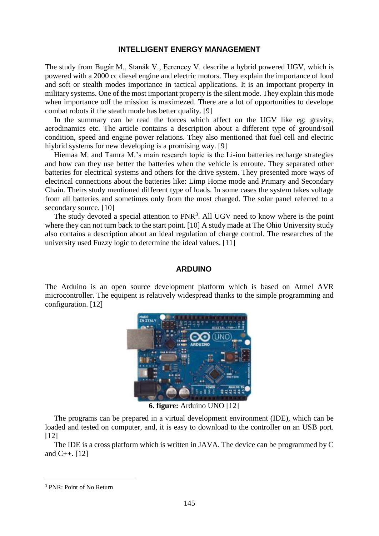#### **INTELLIGENT ENERGY MANAGEMENT**

The study from Bugár M., Stanák V., Ferencey V. describe a hybrid powered UGV, which is powered with a 2000 cc diesel engine and electric motors. They explain the importance of loud and soft or stealth modes importance in tactical applications. It is an important property in military systems. One of the most important property is the silent mode. They explain this mode when importance odf the mission is maximezed. There are a lot of opportunities to develope combat robots if the steath mode has better quality. [9]

In the summary can be read the forces which affect on the UGV like eg: gravity, aerodinamics etc. The article contains a description about a different type of ground/soil condition, speed and engine power relations. They also mentioned that fuel cell and electric hiybrid systems for new developing is a promising way. [9]

Hiemaa M. and Tamra M.'s main research topic is the Li-ion batteries recharge strategies and how can they use better the batteries when the vehicle is enroute. They separated other batteries for electrical systems and others for the drive system. They presented more ways of electrical connections about the batteries like: Limp Home mode and Primary and Secondary Chain. Theirs study mentioned different type of loads. In some cases the system takes voltage from all batteries and sometimes only from the most charged. The solar panel referred to a secondary source. [10]

The study devoted a special attention to  $PNR<sup>3</sup>$ . All UGV need to know where is the point where they can not turn back to the start point. [10] A study made at The Ohio University study also contains a description about an ideal regulation of charge control. The researches of the university used Fuzzy logic to determine the ideal values. [11]

#### **ARDUINO**

The Arduino is an open source development platform which is based on Atmel AVR microcontroller. The equipent is relatively widespread thanks to the simple programming and configuration. [12]



**6. figure:** Arduino UNO [12]

The programs can be prepared in a virtual development environment (IDE), which can be loaded and tested on computer, and, it is easy to download to the controller on an USB port. [12]

The IDE is a cross platform which is written in JAVA. The device can be programmed by C and C++. [12]

1

<sup>3</sup> PNR: Point of No Return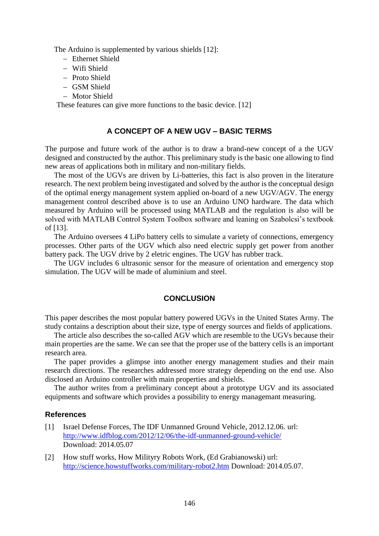The Arduino is supplemented by various shields [12]:

- Ethernet Shield
- Wifi Shield
- Proto Shield
- GSM Shield
- Motor Shield

These features can give more functions to the basic device. [12]

## **A CONCEPT OF A NEW UGV – BASIC TERMS**

The purpose and future work of the author is to draw a brand-new concept of a the UGV designed and constructed by the author. This preliminary study is the basic one allowing to find new areas of applications both in military and non-military fields.

The most of the UGVs are driven by Li-batteries, this fact is also proven in the literature research. The next problem being investigated and solved by the author is the conceptual design of the optimal energy management system applied on-board of a new UGV/AGV. The energy management control described above is to use an Arduino UNO hardware. The data which measured by Arduino will be processed using MATLAB and the regulation is also will be solved with MATLAB Control System Toolbox software and leaning on Szabolcsi's textbook of [13].

The Arduino oversees 4 LiPo battery cells to simulate a variety of connections, emergency processes. Other parts of the UGV which also need electric supply get power from another battery pack. The UGV drive by 2 eletric engines. The UGV has rubber track.

The UGV includes 6 ultrasonic sensor for the measure of orientation and emergency stop simulation. The UGV will be made of aluminium and steel.

#### **CONCLUSION**

This paper describes the most popular battery powered UGVs in the United States Army. The study contains a description about their size, type of energy sources and fields of applications.

The article also describes the so-called AGV which are resemble to the UGVs because their main properties are the same. We can see that the proper use of the battery cells is an important research area.

The paper provides a glimpse into another energy management studies and their main research directions. The researches addressed more strategy depending on the end use. Also disclosed an Arduino controller with main properties and shields.

The author writes from a preliminary concept about a prototype UGV and its associated equipments and software which provides a possibility to energy managemant measuring.

#### **References**

- [1] Israel Defense Forces, The IDF Unmanned Ground Vehicle, 2012.12.06. url: <http://www.idfblog.com/2012/12/06/the-idf-unmanned-ground-vehicle/> Download: 2014.05.07
- [2] How stuff works, How Milityry Robots Work, (Ed Grabianowski) url: <http://science.howstuffworks.com/military-robot2.htm> Download: 2014.05.07.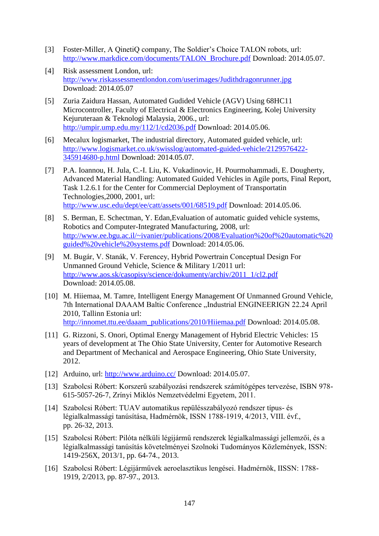- [3] Foster-Miller, A QinetiQ company, The Soldier's Choice TALON robots, url: [http://www.markdice.com/documents/TALON\\_Brochure.pdf](http://www.markdice.com/documents/TALON_Brochure.pdf) Download: 2014.05.07.
- [4] Risk assessment London, url: <http://www.riskassessmentlondon.com/userimages/Judithdragonrunner.jpg> Download: 2014.05.07
- [5] Zuria Zaidura Hassan, Automated Gudided Vehicle (AGV) Using 68HC11 Microcontroller, Faculty of Electrical & Electronics Engineering, Kolej University Kejuruteraan & Teknologi Malaysia, 2006., url: <http://umpir.ump.edu.my/112/1/cd2036.pdf> Download: 2014.05.06.
- [6] Mecalux logismarket, The industrial directory, Automated guided vehicle, url: [http://www.logismarket.co.uk/swisslog/automated-guided-vehicle/2129576422-](http://www.logismarket.co.uk/swisslog/automated-guided-vehicle/2129576422-345914680-p.html) [345914680-p.html](http://www.logismarket.co.uk/swisslog/automated-guided-vehicle/2129576422-345914680-p.html) Download: 2014.05.07.
- [7] P.A. Ioannou, H. Jula, C.-I. Liu, K. Vukadinovic, H. Pourmohammadi, E. Dougherty, Advanced Material Handling: Automated Guided Vehicles in Agile ports, Final Report, Task 1.2.6.1 for the Center for Commercial Deployment of Transportatin Technologies,2000, 2001, url: <http://www.usc.edu/dept/ee/catt/assets/001/68519.pdf> Download: 2014.05.06.
- [8] S. Berman, E. Schectman, Y. Edan,Evaluation of automatic guided vehicle systems, Robotics and Computer-Integrated Manufacturing, 2008, url: [http://www.ee.bgu.ac.il/~ivanier/publications/2008/Evaluation%20of%20automatic%20](http://www.ee.bgu.ac.il/~ivanier/publications/2008/Evaluation%20of%20automatic%20guided%20vehicle%20systems.pdf) [guided%20vehicle%20systems.pdf](http://www.ee.bgu.ac.il/~ivanier/publications/2008/Evaluation%20of%20automatic%20guided%20vehicle%20systems.pdf) Download: 2014.05.06.
- [9] M. Bugár, V. Stanák, V. Ferencey, Hybrid Powertrain Conceptual Design For Unmanned Ground Vehicle, Science & Military 1/2011 url: [http://www.aos.sk/casopisy/science/dokumenty/archiv/2011\\_1/cl2.pdf](http://www.aos.sk/casopisy/science/dokumenty/archiv/2011_1/cl2.pdf) Download: 2014.05.08.
- [10] M. Hiiemaa, M. Tamre, Intelligent Energy Management Of Unmanned Ground Vehicle, 7th International DAAAM Baltic Conference "Industrial ENGINEERIGN 22.24 April 2010, Tallinn Estonia url: [http://innomet.ttu.ee/daaam\\_publications/2010/Hiiemaa.pdf](http://innomet.ttu.ee/daaam_publications/2010/Hiiemaa.pdf) Download: 2014.05.08.
- [11] G. Rizzoni, S. Onori, Optimal Energy Management of Hybrid Electric Vehicles: 15 years of development at The Ohio State University, Center for Automotive Research and Department of Mechanical and Aerospace Engineering, Ohio State University, 2012.
- [12] Arduino, url:<http://www.arduino.cc/> Download: 2014.05.07.
- [13] Szabolcsi Róbert: Korszerű szabályozási rendszerek számítógépes tervezése, ISBN 978- 615-5057-26-7, Zrínyi Miklós Nemzetvédelmi Egyetem, 2011.
- [14] Szabolcsi Róbert: TUAV automatikus repülésszabályozó rendszer típus- és légialkalmassági tanúsítása, Hadmérnök, ISSN 1788-1919, 4/2013, VIII. évf., pp. 26-32, 2013.
- [15] Szabolcsi Róbert: Pilóta nélküli légijármű rendszerek légialkalmassági jellemzői, és a légialkalmassági tanúsítás követelményei Szolnoki Tudományos Közlemények, ISSN: 1419-256X, 2013/1, pp. 64-74., 2013.
- [16] Szabolcsi Róbert: Légijárművek aeroelasztikus lengései. Hadmérnök, IISSN: 1788- 1919, 2/2013, pp. 87-97., 2013.